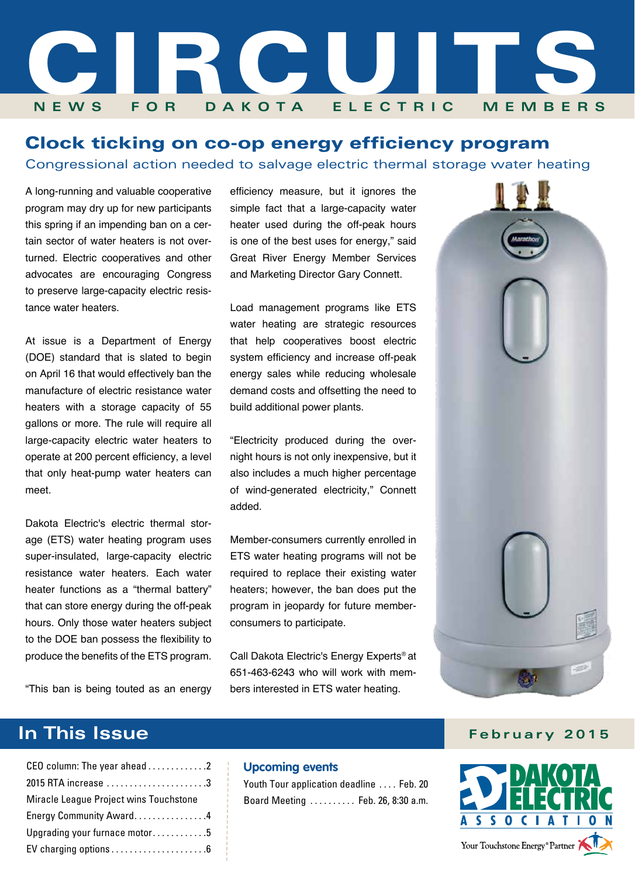

### Clock ticking on co-op energy efficiency program

Congressional action needed to salvage electric thermal storage water heating

A long-running and valuable cooperative program may dry up for new participants this spring if an impending ban on a certain sector of water heaters is not overturned. Electric cooperatives and other advocates are encouraging Congress to preserve large-capacity electric resistance water heaters.

At issue is a Department of Energy (DOE) standard that is slated to begin on April 16 that would effectively ban the manufacture of electric resistance water heaters with a storage capacity of 55 gallons or more. The rule will require all large-capacity electric water heaters to operate at 200 percent efficiency, a level that only heat-pump water heaters can meet.

Dakota Electric's electric thermal storage (ETS) water heating program uses super-insulated, large-capacity electric resistance water heaters. Each water heater functions as a "thermal battery" that can store energy during the off-peak hours. Only those water heaters subject to the DOE ban possess the flexibility to produce the benefits of the ETS program.

efficiency measure, but it ignores the simple fact that a large-capacity water heater used during the off-peak hours is one of the best uses for energy," said Great River Energy Member Services and Marketing Director Gary Connett.

Load management programs like ETS water heating are strategic resources that help cooperatives boost electric system efficiency and increase off-peak energy sales while reducing wholesale demand costs and offsetting the need to build additional power plants.

"Electricity produced during the overnight hours is not only inexpensive, but it also includes a much higher percentage of wind-generated electricity," Connett added.

Member-consumers currently enrolled in ETS water heating programs will not be required to replace their existing water heaters; however, the ban does put the program in jeopardy for future memberconsumers to participate.

Call Dakota Electric's Energy Experts® at 651-463-6243 who will work with members interested in ETS water heating.



### **In This Issue February 2015**



"This ban is being touted as an energy

| CEO column: The year ahead 2           |
|----------------------------------------|
| 2015 RTA increase 3                    |
| Miracle League Project wins Touchstone |
| Energy Community Award4                |
| Upgrading your furnace motor5          |
|                                        |
|                                        |

#### **Upcoming events**

Youth Tour application deadline . . . . Feb. 20 Board Meeting . . . . . . . . . . Feb. 26, 8:30 a.m.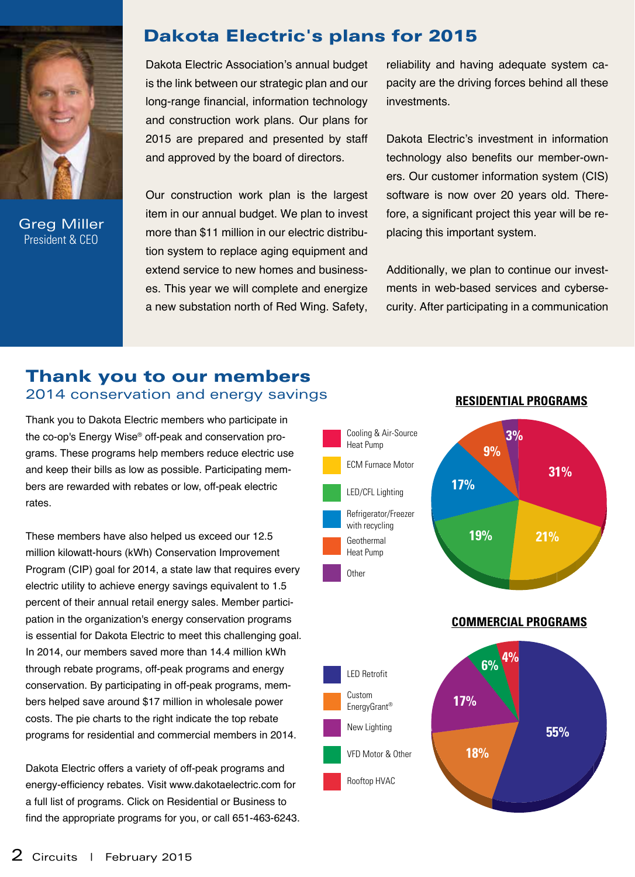

Greg Miller President & CEO

### Dakota Electric's plans for 2015

Dakota Electric Association's annual budget is the link between our strategic plan and our long-range financial, information technology and construction work plans. Our plans for 2015 are prepared and presented by staff and approved by the board of directors.

Our construction work plan is the largest item in our annual budget. We plan to invest more than \$11 million in our electric distribution system to replace aging equipment and extend service to new homes and businesses. This year we will complete and energize a new substation north of Red Wing. Safety, reliability and having adequate system capacity are the driving forces behind all these investments.

Dakota Electric's investment in information technology also benefits our member-owners. Our customer information system (CIS) software is now over 20 years old. Therefore, a significant project this year will be replacing this important system.

Additionally, we plan to continue our investments in web-based services and cybersecurity. After participating in a communication

### 2014 conservation and energy savings Thank you to our members

Thank you to Dakota Electric members who participate in the co-op's Energy Wise® off-peak and conservation programs. These programs help members reduce electric use and keep their bills as low as possible. Participating members are rewarded with rebates or low, off-peak electric rates.

These members have also helped us exceed our 12.5 million kilowatt-hours (kWh) Conservation Improvement Program (CIP) goal for 2014, a state law that requires every electric utility to achieve energy savings equivalent to 1.5 percent of their annual retail energy sales. Member participation in the organization's energy conservation programs is essential for Dakota Electric to meet this challenging goal. In 2014, our members saved more than 14.4 million kWh through rebate programs, off-peak programs and energy conservation. By participating in off-peak programs, members helped save around \$17 million in wholesale power costs. The pie charts to the right indicate the top rebate programs for residential and commercial members in 2014.

Dakota Electric offers a variety of off-peak programs and energy-efficiency rebates. Visit www.dakotaelectric.com for a full list of programs. Click on Residential or Business to find the appropriate programs for you, or call 651-463-6243.





### **Residential Programs**

**Commercial Programs**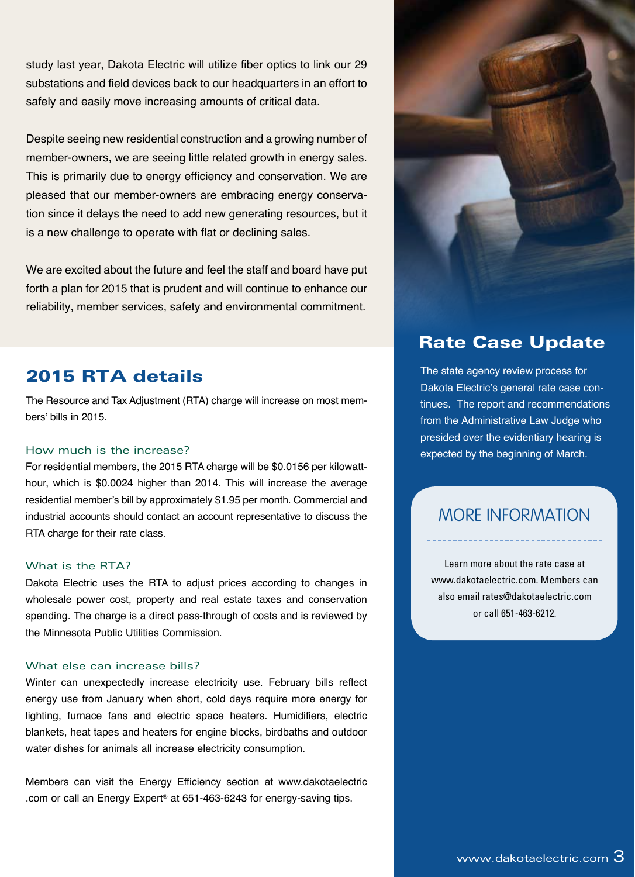study last year, Dakota Electric will utilize fiber optics to link our 29 substations and field devices back to our headquarters in an effort to safely and easily move increasing amounts of critical data.

Despite seeing new residential construction and a growing number of member-owners, we are seeing little related growth in energy sales. This is primarily due to energy efficiency and conservation. We are pleased that our member-owners are embracing energy conservation since it delays the need to add new generating resources, but it is a new challenge to operate with flat or declining sales.

We are excited about the future and feel the staff and board have put forth a plan for 2015 that is prudent and will continue to enhance our reliability, member services, safety and environmental commitment.

### 2015 RTA details

The Resource and Tax Adjustment (RTA) charge will increase on most members' bills in 2015.

#### How much is the increase?

For residential members, the 2015 RTA charge will be \$0.0156 per kilowatthour, which is \$0.0024 higher than 2014. This will increase the average residential member's bill by approximately \$1.95 per month. Commercial and industrial accounts should contact an account representative to discuss the RTA charge for their rate class.

#### What is the RTA?

Dakota Electric uses the RTA to adjust prices according to changes in wholesale power cost, property and real estate taxes and conservation spending. The charge is a direct pass-through of costs and is reviewed by the Minnesota Public Utilities Commission.

#### What else can increase bills?

Winter can unexpectedly increase electricity use. February bills reflect energy use from January when short, cold days require more energy for lighting, furnace fans and electric space heaters. Humidifiers, electric blankets, heat tapes and heaters for engine blocks, birdbaths and outdoor water dishes for animals all increase electricity consumption.

Members can visit the Energy Efficiency section at www.dakotaelectric .com or call an Energy Expert® at 651-463-6243 for energy-saving tips.



### Rate Case Update

The state agency review process for Dakota Electric's general rate case continues. The report and recommendations from the Administrative Law Judge who presided over the evidentiary hearing is expected by the beginning of March.

### More Information

Learn more about the rate case at www.dakotaelectric.com. Members can also email rates@dakotaelectric.com or call 651-463-6212.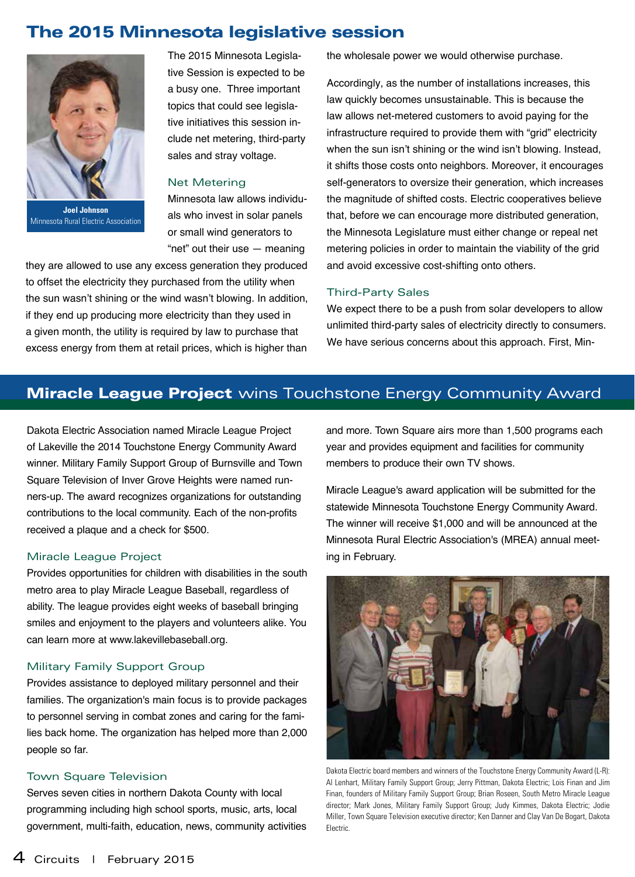### The 2015 Minnesota legislative session



**Joel Johnson** Minnesota Rural Electric Association

The 2015 Minnesota Legislative Session is expected to be a busy one. Three important topics that could see legislative initiatives this session include net metering, third-party sales and stray voltage.

#### Net Metering

Minnesota law allows individuals who invest in solar panels or small wind generators to "net" out their use — meaning

they are allowed to use any excess generation they produced to offset the electricity they purchased from the utility when the sun wasn't shining or the wind wasn't blowing. In addition, if they end up producing more electricity than they used in a given month, the utility is required by law to purchase that excess energy from them at retail prices, which is higher than

the wholesale power we would otherwise purchase.

Accordingly, as the number of installations increases, this law quickly becomes unsustainable. This is because the law allows net-metered customers to avoid paying for the infrastructure required to provide them with "grid" electricity when the sun isn't shining or the wind isn't blowing. Instead, it shifts those costs onto neighbors. Moreover, it encourages self-generators to oversize their generation, which increases the magnitude of shifted costs. Electric cooperatives believe that, before we can encourage more distributed generation, the Minnesota Legislature must either change or repeal net metering policies in order to maintain the viability of the grid and avoid excessive cost-shifting onto others.

#### Third-Party Sales

We expect there to be a push from solar developers to allow unlimited third-party sales of electricity directly to consumers. We have serious concerns about this approach. First, Min-

### **Miracle League Project** wins Touchstone Energy Community Award

Dakota Electric Association named Miracle League Project of Lakeville the 2014 Touchstone Energy Community Award winner. Military Family Support Group of Burnsville and Town Square Television of Inver Grove Heights were named runners-up. The award recognizes organizations for outstanding contributions to the local community. Each of the non-profits received a plaque and a check for \$500.

#### Miracle League Project

Provides opportunities for children with disabilities in the south metro area to play Miracle League Baseball, regardless of ability. The league provides eight weeks of baseball bringing smiles and enjoyment to the players and volunteers alike. You can learn more at www.lakevillebaseball.org.

#### Military Family Support Group

Provides assistance to deployed military personnel and their families. The organization's main focus is to provide packages to personnel serving in combat zones and caring for the families back home. The organization has helped more than 2,000 people so far.

#### Town Square Television

Serves seven cities in northern Dakota County with local programming including high school sports, music, arts, local government, multi-faith, education, news, community activities and more. Town Square airs more than 1,500 programs each year and provides equipment and facilities for community members to produce their own TV shows.

Miracle League's award application will be submitted for the statewide Minnesota Touchstone Energy Community Award. The winner will receive \$1,000 and will be announced at the Minnesota Rural Electric Association's (MREA) annual meeting in February.



Dakota Electric board members and winners of the Touchstone Energy Community Award (L-R): Al Lenhart, Military Family Support Group; Jerry Pittman, Dakota Electric; Lois Finan and Jim Finan, founders of Military Family Support Group; Brian Roseen, South Metro Miracle League director; Mark Jones, Military Family Support Group; Judy Kimmes, Dakota Electric; Jodie Miller, Town Square Television executive director; Ken Danner and Clay Van De Bogart, Dakota Electric.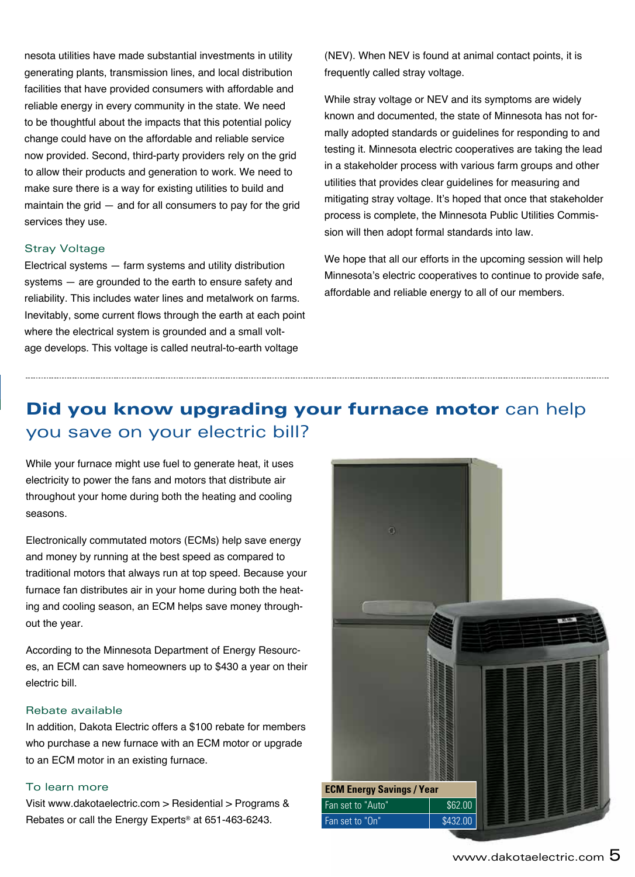nesota utilities have made substantial investments in utility generating plants, transmission lines, and local distribution facilities that have provided consumers with affordable and reliable energy in every community in the state. We need to be thoughtful about the impacts that this potential policy change could have on the affordable and reliable service now provided. Second, third-party providers rely on the grid to allow their products and generation to work. We need to make sure there is a way for existing utilities to build and maintain the grid — and for all consumers to pay for the grid services they use.

#### Stray Voltage

Electrical systems — farm systems and utility distribution systems — are grounded to the earth to ensure safety and reliability. This includes water lines and metalwork on farms. Inevitably, some current flows through the earth at each point where the electrical system is grounded and a small voltage develops. This voltage is called neutral-to-earth voltage

(NEV). When NEV is found at animal contact points, it is frequently called stray voltage.

While stray voltage or NEV and its symptoms are widely known and documented, the state of Minnesota has not formally adopted standards or guidelines for responding to and testing it. Minnesota electric cooperatives are taking the lead in a stakeholder process with various farm groups and other utilities that provides clear guidelines for measuring and mitigating stray voltage. It's hoped that once that stakeholder process is complete, the Minnesota Public Utilities Commission will then adopt formal standards into law.

We hope that all our efforts in the upcoming session will help Minnesota's electric cooperatives to continue to provide safe, affordable and reliable energy to all of our members.

### Did you know upgrading your furnace motor can help you save on your electric bill?

While your furnace might use fuel to generate heat, it uses electricity to power the fans and motors that distribute air throughout your home during both the heating and cooling seasons.

Electronically commutated motors (ECMs) help save energy and money by running at the best speed as compared to traditional motors that always run at top speed. Because your furnace fan distributes air in your home during both the heating and cooling season, an ECM helps save money throughout the year.

According to the Minnesota Department of Energy Resources, an ECM can save homeowners up to \$430 a year on their electric bill.

#### Rebate available

In addition, Dakota Electric offers a \$100 rebate for members who purchase a new furnace with an ECM motor or upgrade to an ECM motor in an existing furnace.

#### To learn more

Visit www.dakotaelectric.com > Residential > Programs & Rebates or call the Energy Experts® at 651-463-6243.

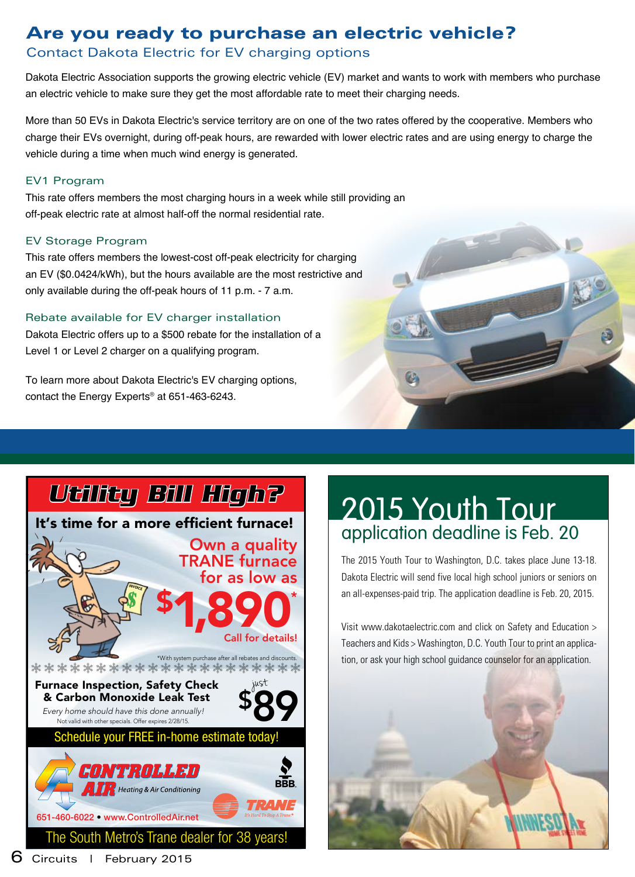### Are you ready to purchase an electric vehicle?

### Contact Dakota Electric for EV charging options

Dakota Electric Association supports the growing electric vehicle (EV) market and wants to work with members who purchase an electric vehicle to make sure they get the most affordable rate to meet their charging needs.

More than 50 EVs in Dakota Electric's service territory are on one of the two rates offered by the cooperative. Members who charge their EVs overnight, during off-peak hours, are rewarded with lower electric rates and are using energy to charge the vehicle during a time when much wind energy is generated.

#### EV1 Program

This rate offers members the most charging hours in a week while still providing an off-peak electric rate at almost half-off the normal residential rate.

#### EV Storage Program

This rate offers members the lowest-cost off-peak electricity for charging an EV (\$0.0424/kWh), but the hours available are the most restrictive and only available during the off-peak hours of 11 p.m. - 7 a.m.

#### Rebate available for EV charger installation

Dakota Electric offers up to a \$500 rebate for the installation of a Level 1 or Level 2 charger on a qualifying program.

To learn more about Dakota Electric's EV charging options, contact the Energy Experts® at 651-463-6243.





### 2015 Youth Tour application deadline is Feb. 20

The 2015 Youth Tour to Washington, D.C. takes place June 13-18. Dakota Electric will send five local high school juniors or seniors on an all-expenses-paid trip. The application deadline is Feb. 20, 2015.

Visit www.dakotaelectric.com and click on Safety and Education > Teachers and Kids > Washington, D.C. Youth Tour to print an application, or ask your high school guidance counselor for an application.

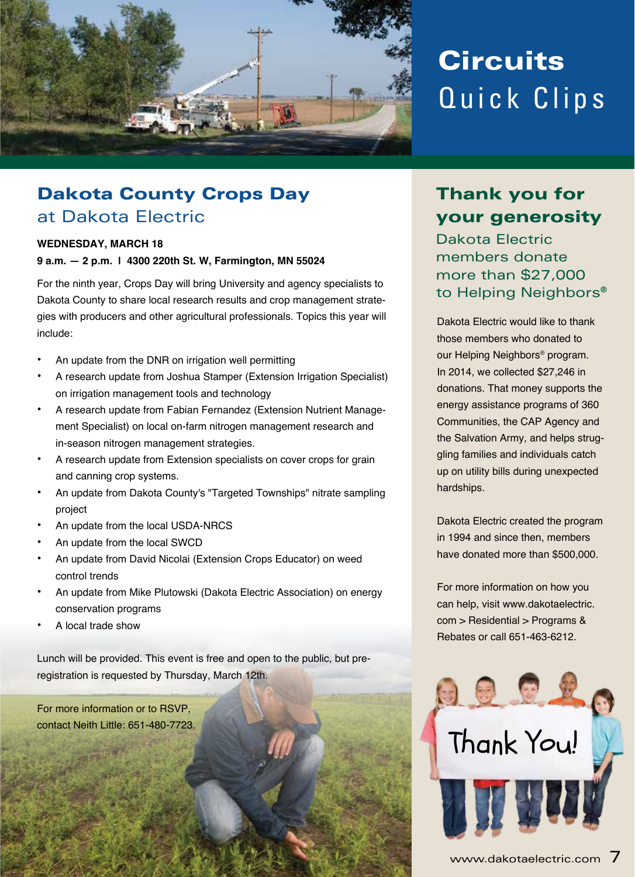

## **Circuits** Quick Clips

### Dakota County Crops Day at Dakota Electric

#### **WEDNESDAY, MARCH 18**

**9 a.m. — 2 p.m. | 4300 220th St. W, Farmington, MN 55024**

For the ninth year, Crops Day will bring University and agency specialists to Dakota County to share local research results and crop management strategies with producers and other agricultural professionals. Topics this year will include:

- An update from the DNR on irrigation well permitting
- A research update from Joshua Stamper (Extension Irrigation Specialist) on irrigation management tools and technology
- A research update from Fabian Fernandez (Extension Nutrient Management Specialist) on local on-farm nitrogen management research and in-season nitrogen management strategies.
- A research update from Extension specialists on cover crops for grain and canning crop systems.
- An update from Dakota County's "Targeted Townships" nitrate sampling project
- An update from the local USDA-NRCS
- An update from the local SWCD
- An update from David Nicolai (Extension Crops Educator) on weed control trends
- An update from Mike Plutowski (Dakota Electric Association) on energy conservation programs
- A local trade show

Lunch will be provided. This event is free and open to the public, but preregistration is requested by Thursday, March 12th.

For more information or to RSVP,

### Thank you for your generosity

Dakota Electric members donate more than \$27,000 to Helping Neighbors®

Dakota Electric would like to thank those members who donated to our Helping Neighbors® program. In 2014, we collected \$27,246 in donations. That money supports the energy assistance programs of 360 Communities, the CAP Agency and the Salvation Army, and helps struggling families and individuals catch up on utility bills during unexpected hardships.

Dakota Electric created the program in 1994 and since then, members have donated more than \$500,000.

For more information on how you can help, visit www.dakotaelectric. com > Residential > Programs & Rebates or call 651-463-6212.